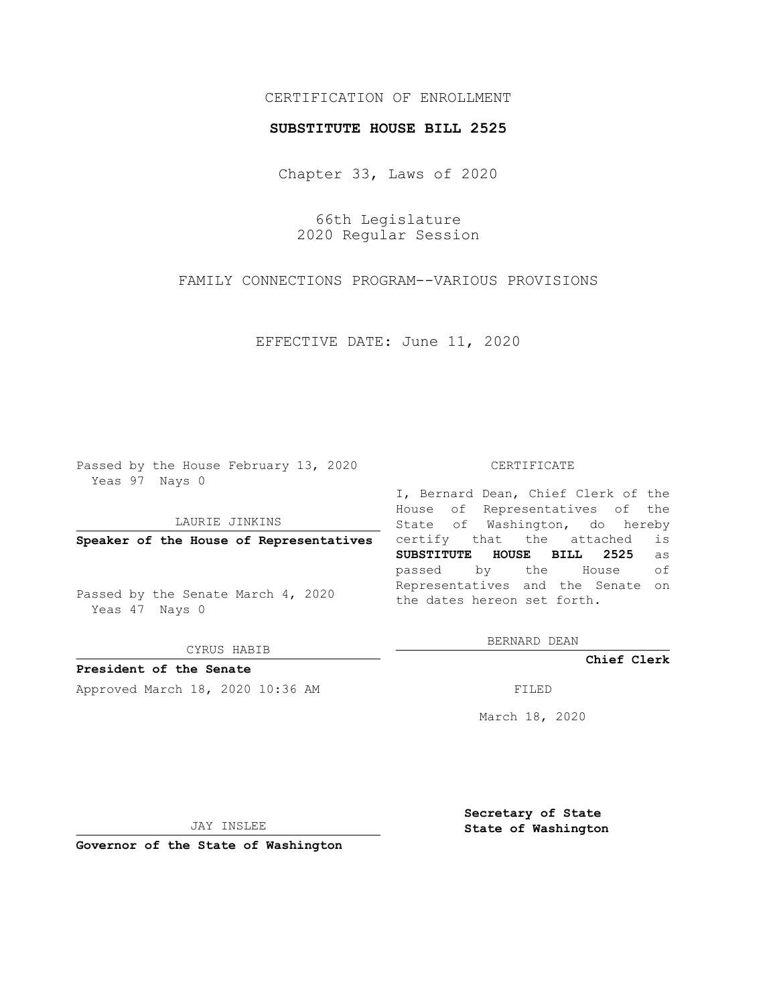# CERTIFICATION OF ENROLLMENT

### **SUBSTITUTE HOUSE BILL 2525**

Chapter 33, Laws of 2020

66th Legislature 2020 Regular Session

FAMILY CONNECTIONS PROGRAM--VARIOUS PROVISIONS

EFFECTIVE DATE: June 11, 2020

Passed by the House February 13, 2020 Yeas 97 Nays 0

LAURIE JINKINS

**Speaker of the House of Representatives**

Passed by the Senate March 4, 2020 Yeas 47 Nays 0

CYRUS HABIB

**President of the Senate**

Approved March 18, 2020 10:36 AM FILED

#### CERTIFICATE

I, Bernard Dean, Chief Clerk of the House of Representatives of the State of Washington, do hereby certify that the attached is **SUBSTITUTE HOUSE BILL 2525** as passed by the House of Representatives and the Senate on the dates hereon set forth.

BERNARD DEAN

**Chief Clerk**

March 18, 2020

JAY INSLEE

**Governor of the State of Washington**

**Secretary of State State of Washington**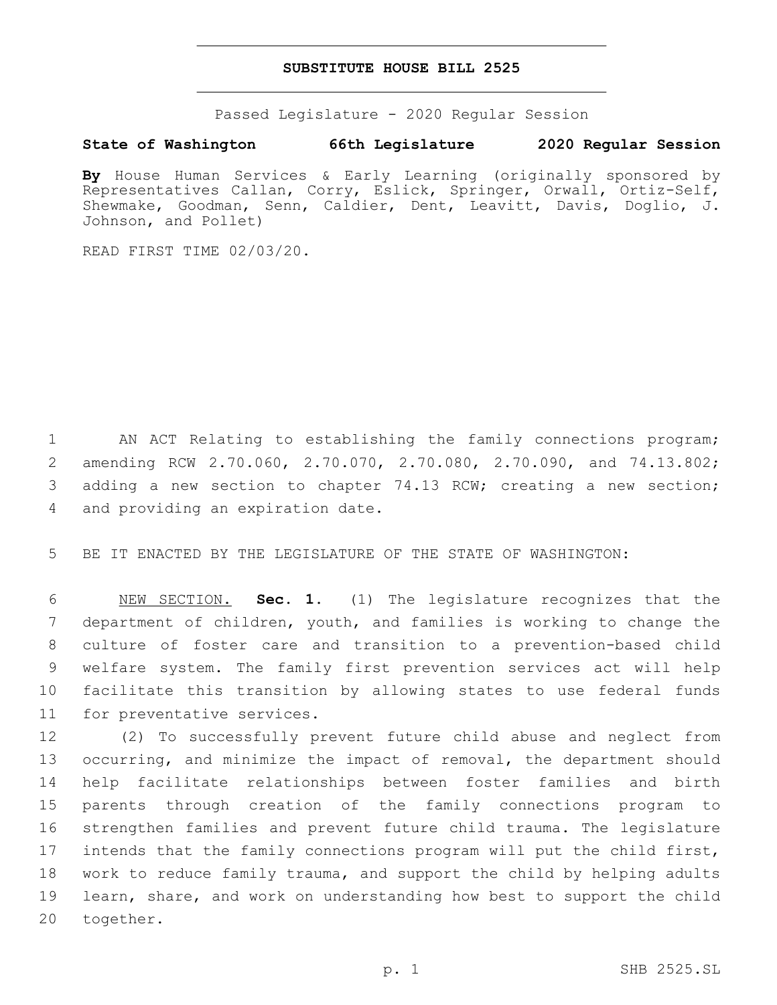### **SUBSTITUTE HOUSE BILL 2525**

Passed Legislature - 2020 Regular Session

## **State of Washington 66th Legislature 2020 Regular Session**

**By** House Human Services & Early Learning (originally sponsored by Representatives Callan, Corry, Eslick, Springer, Orwall, Ortiz-Self, Shewmake, Goodman, Senn, Caldier, Dent, Leavitt, Davis, Doglio, J. Johnson, and Pollet)

READ FIRST TIME 02/03/20.

 AN ACT Relating to establishing the family connections program; amending RCW 2.70.060, 2.70.070, 2.70.080, 2.70.090, and 74.13.802; adding a new section to chapter 74.13 RCW; creating a new section; 4 and providing an expiration date.

BE IT ENACTED BY THE LEGISLATURE OF THE STATE OF WASHINGTON:

 NEW SECTION. **Sec. 1.** (1) The legislature recognizes that the department of children, youth, and families is working to change the culture of foster care and transition to a prevention-based child welfare system. The family first prevention services act will help facilitate this transition by allowing states to use federal funds for preventative services.

 (2) To successfully prevent future child abuse and neglect from occurring, and minimize the impact of removal, the department should help facilitate relationships between foster families and birth parents through creation of the family connections program to strengthen families and prevent future child trauma. The legislature intends that the family connections program will put the child first, work to reduce family trauma, and support the child by helping adults learn, share, and work on understanding how best to support the child 20 together.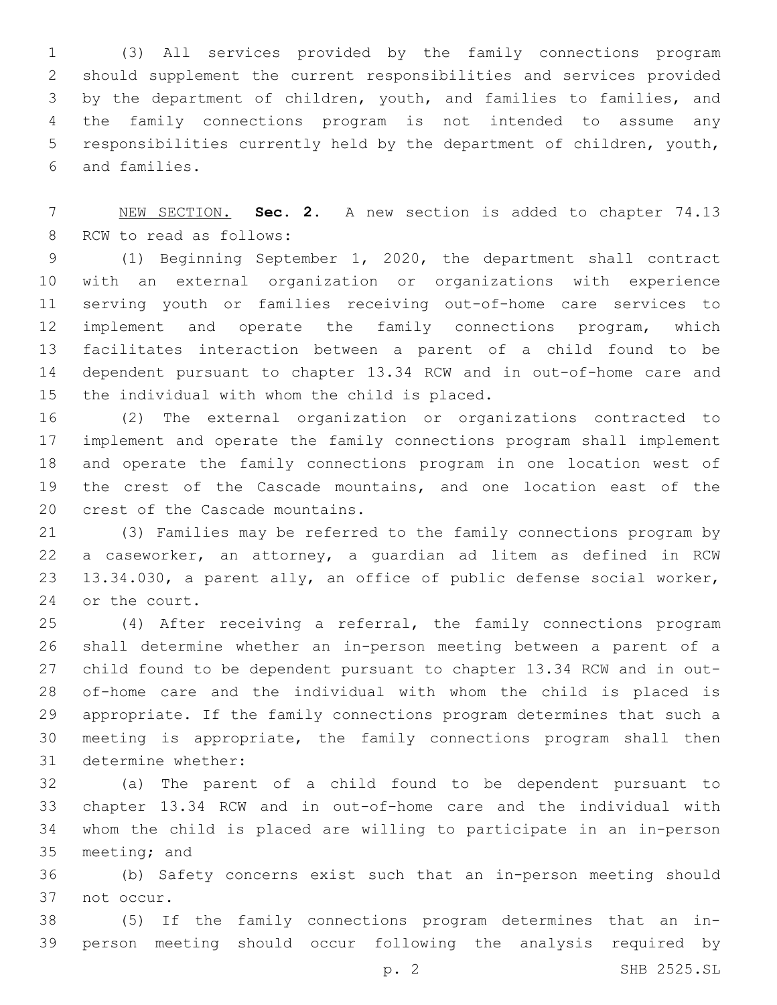(3) All services provided by the family connections program should supplement the current responsibilities and services provided by the department of children, youth, and families to families, and the family connections program is not intended to assume any responsibilities currently held by the department of children, youth, and families.6

 NEW SECTION. **Sec. 2.** A new section is added to chapter 74.13 8 RCW to read as follows:

 (1) Beginning September 1, 2020, the department shall contract with an external organization or organizations with experience serving youth or families receiving out-of-home care services to implement and operate the family connections program, which facilitates interaction between a parent of a child found to be dependent pursuant to chapter 13.34 RCW and in out-of-home care and 15 the individual with whom the child is placed.

 (2) The external organization or organizations contracted to implement and operate the family connections program shall implement and operate the family connections program in one location west of the crest of the Cascade mountains, and one location east of the 20 crest of the Cascade mountains.

 (3) Families may be referred to the family connections program by a caseworker, an attorney, a guardian ad litem as defined in RCW 13.34.030, a parent ally, an office of public defense social worker, 24 or the court.

 (4) After receiving a referral, the family connections program shall determine whether an in-person meeting between a parent of a child found to be dependent pursuant to chapter 13.34 RCW and in out- of-home care and the individual with whom the child is placed is appropriate. If the family connections program determines that such a meeting is appropriate, the family connections program shall then 31 determine whether:

 (a) The parent of a child found to be dependent pursuant to chapter 13.34 RCW and in out-of-home care and the individual with whom the child is placed are willing to participate in an in-person 35 meeting; and

 (b) Safety concerns exist such that an in-person meeting should 37 not occur.

 (5) If the family connections program determines that an in-person meeting should occur following the analysis required by

p. 2 SHB 2525.SL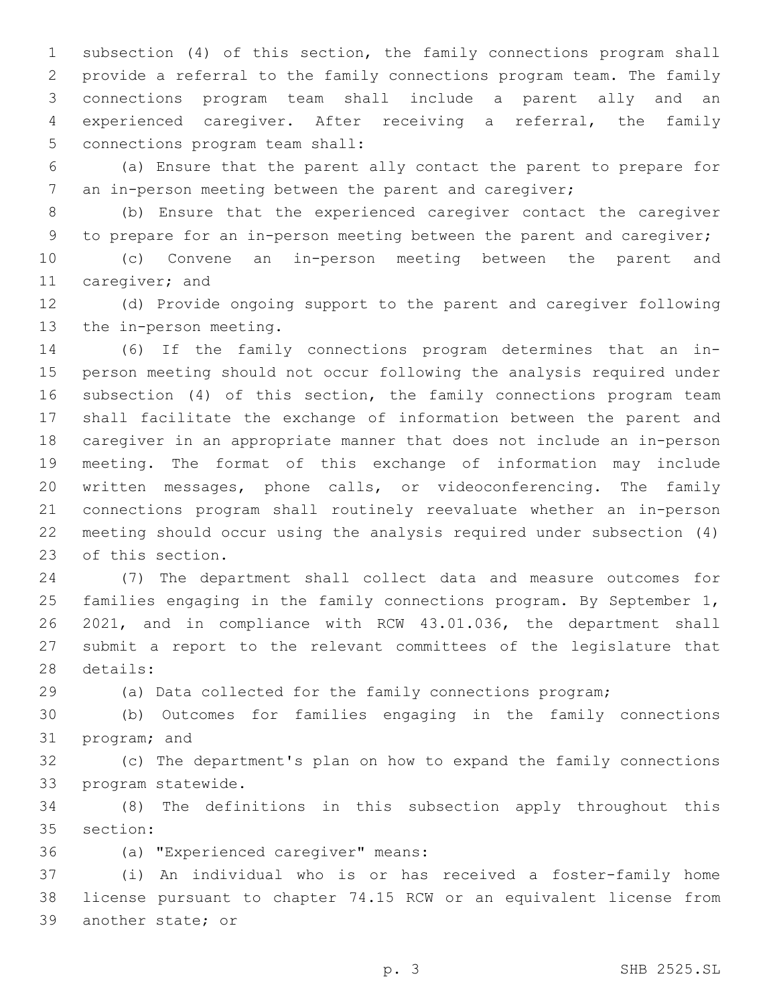subsection (4) of this section, the family connections program shall provide a referral to the family connections program team. The family connections program team shall include a parent ally and an experienced caregiver. After receiving a referral, the family 5 connections program team shall:

 (a) Ensure that the parent ally contact the parent to prepare for an in-person meeting between the parent and caregiver;

 (b) Ensure that the experienced caregiver contact the caregiver to prepare for an in-person meeting between the parent and caregiver;

 (c) Convene an in-person meeting between the parent and 11 caregiver; and

 (d) Provide ongoing support to the parent and caregiver following 13 the in-person meeting.

 (6) If the family connections program determines that an in- person meeting should not occur following the analysis required under subsection (4) of this section, the family connections program team shall facilitate the exchange of information between the parent and caregiver in an appropriate manner that does not include an in-person meeting. The format of this exchange of information may include written messages, phone calls, or videoconferencing. The family connections program shall routinely reevaluate whether an in-person meeting should occur using the analysis required under subsection (4) 23 of this section.

 (7) The department shall collect data and measure outcomes for families engaging in the family connections program. By September 1, 2021, and in compliance with RCW 43.01.036, the department shall submit a report to the relevant committees of the legislature that 28 details:

(a) Data collected for the family connections program;

 (b) Outcomes for families engaging in the family connections 31 program; and

 (c) The department's plan on how to expand the family connections 33 program statewide.

 (8) The definitions in this subsection apply throughout this 35 section:

(a) "Experienced caregiver" means:36

 (i) An individual who is or has received a foster-family home license pursuant to chapter 74.15 RCW or an equivalent license from 39 another state; or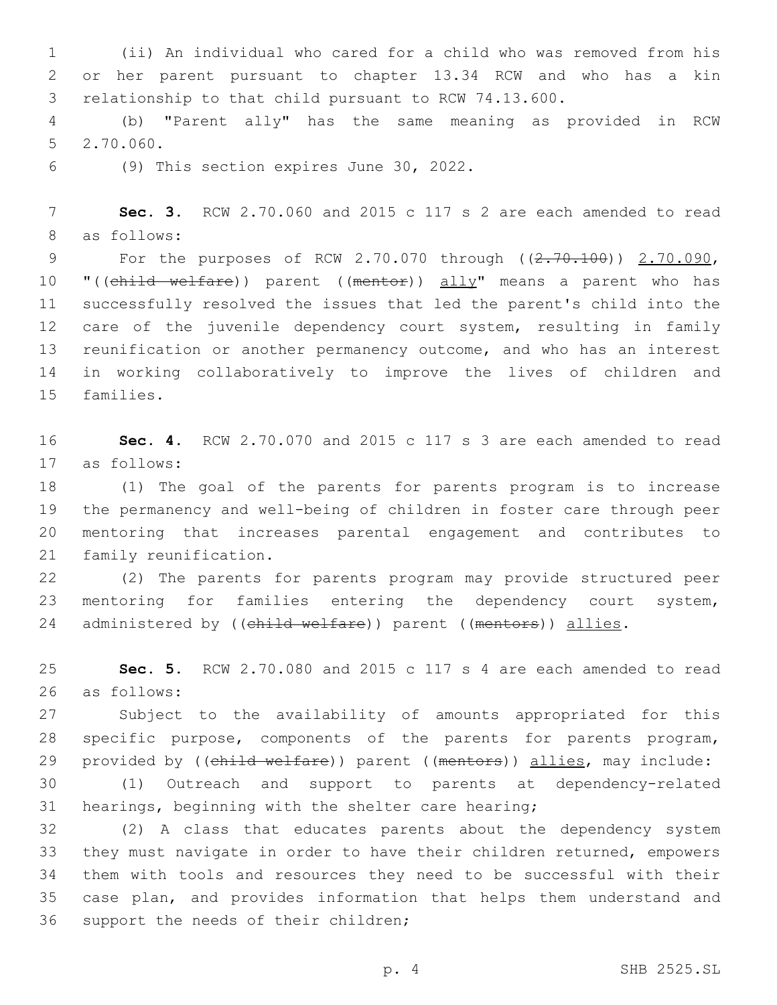(ii) An individual who cared for a child who was removed from his or her parent pursuant to chapter 13.34 RCW and who has a kin relationship to that child pursuant to RCW 74.13.600.

 (b) "Parent ally" has the same meaning as provided in RCW 5 2.70.060.

(9) This section expires June 30, 2022.6

 **Sec. 3.** RCW 2.70.060 and 2015 c 117 s 2 are each amended to read 8 as follows:

9 For the purposes of RCW 2.70.070 through ((2.70.100)) 2.70.090, 10 "((child welfare)) parent ((mentor)) ally" means a parent who has successfully resolved the issues that led the parent's child into the 12 care of the juvenile dependency court system, resulting in family reunification or another permanency outcome, and who has an interest in working collaboratively to improve the lives of children and 15 families.

 **Sec. 4.** RCW 2.70.070 and 2015 c 117 s 3 are each amended to read as follows:17

 (1) The goal of the parents for parents program is to increase the permanency and well-being of children in foster care through peer mentoring that increases parental engagement and contributes to 21 family reunification.

 (2) The parents for parents program may provide structured peer mentoring for families entering the dependency court system, 24 administered by ((child welfare)) parent ((mentors)) allies.

 **Sec. 5.** RCW 2.70.080 and 2015 c 117 s 4 are each amended to read as follows:26

 Subject to the availability of amounts appropriated for this specific purpose, components of the parents for parents program, 29 provided by ((child welfare)) parent ((mentors)) allies, may include:

 (1) Outreach and support to parents at dependency-related hearings, beginning with the shelter care hearing;

 (2) A class that educates parents about the dependency system they must navigate in order to have their children returned, empowers them with tools and resources they need to be successful with their case plan, and provides information that helps them understand and 36 support the needs of their children;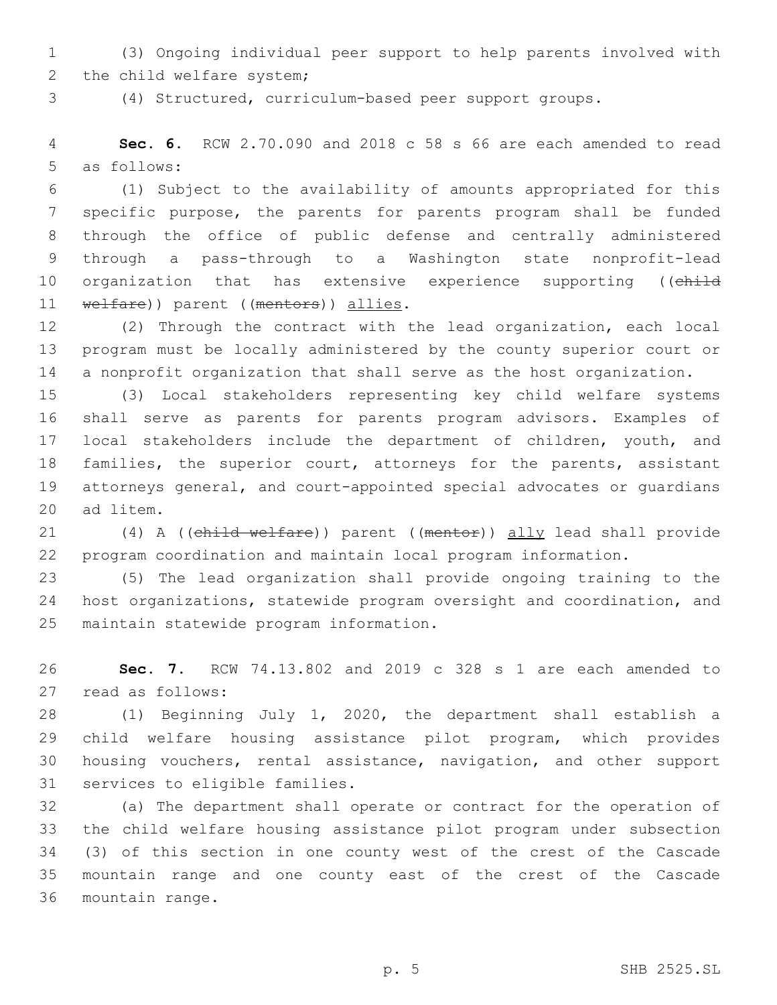(3) Ongoing individual peer support to help parents involved with 2 the child welfare system;

(4) Structured, curriculum-based peer support groups.

 **Sec. 6.** RCW 2.70.090 and 2018 c 58 s 66 are each amended to read 5 as follows:

 (1) Subject to the availability of amounts appropriated for this specific purpose, the parents for parents program shall be funded through the office of public defense and centrally administered through a pass-through to a Washington state nonprofit-lead 10 organization that has extensive experience supporting ((child 11 welfare)) parent ((mentors)) allies.

 (2) Through the contract with the lead organization, each local program must be locally administered by the county superior court or a nonprofit organization that shall serve as the host organization.

 (3) Local stakeholders representing key child welfare systems shall serve as parents for parents program advisors. Examples of local stakeholders include the department of children, youth, and 18 families, the superior court, attorneys for the parents, assistant attorneys general, and court-appointed special advocates or guardians 20 ad litem.

 (4) A ((child welfare)) parent ((mentor)) ally lead shall provide program coordination and maintain local program information.

 (5) The lead organization shall provide ongoing training to the host organizations, statewide program oversight and coordination, and 25 maintain statewide program information.

 **Sec. 7.** RCW 74.13.802 and 2019 c 328 s 1 are each amended to read as follows:27

 (1) Beginning July 1, 2020, the department shall establish a child welfare housing assistance pilot program, which provides housing vouchers, rental assistance, navigation, and other support 31 services to eligible families.

 (a) The department shall operate or contract for the operation of the child welfare housing assistance pilot program under subsection (3) of this section in one county west of the crest of the Cascade mountain range and one county east of the crest of the Cascade 36 mountain range.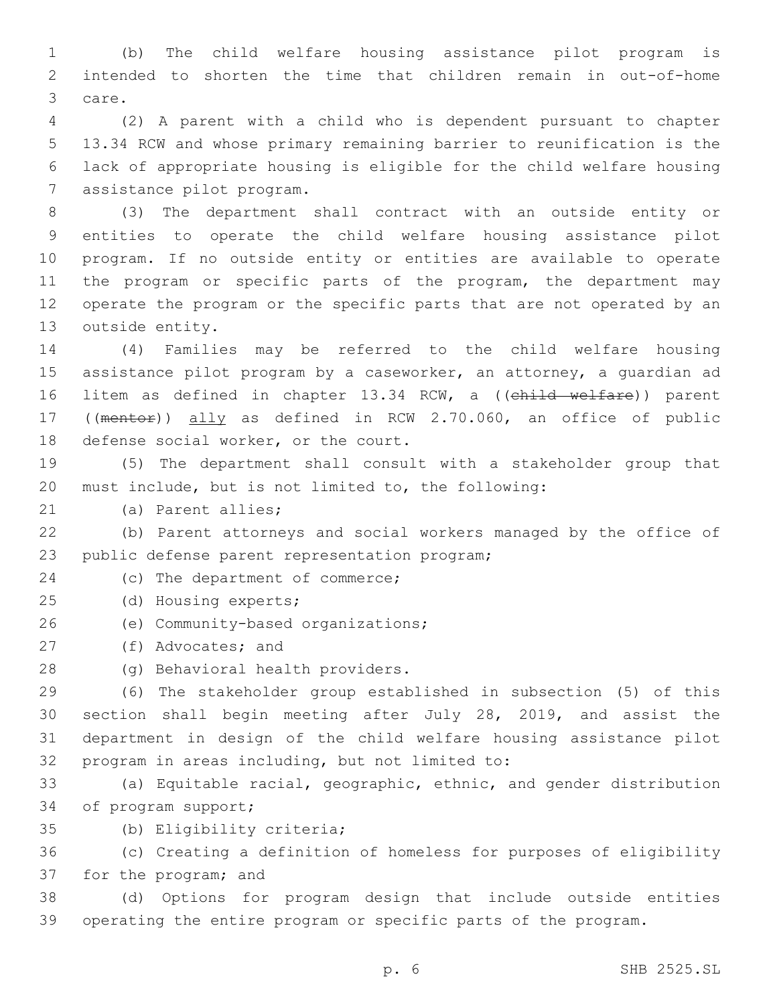1 (b) The child welfare housing assistance pilot program is 2 intended to shorten the time that children remain in out-of-home 3 care.

 (2) A parent with a child who is dependent pursuant to chapter 13.34 RCW and whose primary remaining barrier to reunification is the lack of appropriate housing is eligible for the child welfare housing 7 assistance pilot program.

 (3) The department shall contract with an outside entity or entities to operate the child welfare housing assistance pilot program. If no outside entity or entities are available to operate 11 the program or specific parts of the program, the department may operate the program or the specific parts that are not operated by an 13 outside entity.

14 (4) Families may be referred to the child welfare housing 15 assistance pilot program by a caseworker, an attorney, a quardian ad 16 litem as defined in chapter 13.34 RCW, a ((child welfare)) parent 17 ((mentor)) ally as defined in RCW 2.70.060, an office of public 18 defense social worker, or the court.

19 (5) The department shall consult with a stakeholder group that 20 must include, but is not limited to, the following:

21 (a) Parent allies;

22 (b) Parent attorneys and social workers managed by the office of 23 public defense parent representation program;

24 (c) The department of commerce;

- (d) Housing experts;25
- 26 (e) Community-based organizations;

27 (f) Advocates; and

28 (g) Behavioral health providers.

 (6) The stakeholder group established in subsection (5) of this section shall begin meeting after July 28, 2019, and assist the department in design of the child welfare housing assistance pilot 32 program in areas including, but not limited to:

33 (a) Equitable racial, geographic, ethnic, and gender distribution 34 of program support;

(b) Eligibility criteria;35

36 (c) Creating a definition of homeless for purposes of eligibility 37 for the program; and

38 (d) Options for program design that include outside entities 39 operating the entire program or specific parts of the program.

p. 6 SHB 2525.SL